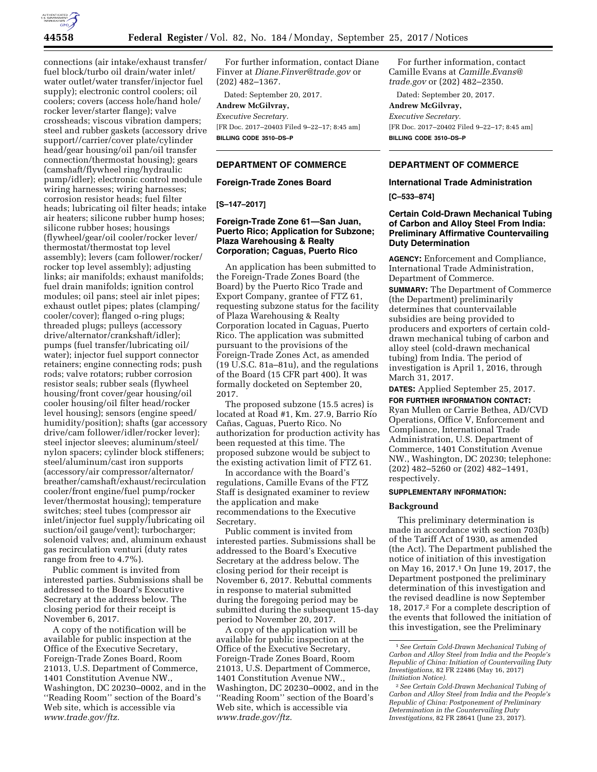

connections (air intake/exhaust transfer/ fuel block/turbo oil drain/water inlet/ water outlet/water transfer/injector fuel supply); electronic control coolers; oil coolers; covers (access hole/hand hole/ rocker lever/starter flange); valve crossheads; viscous vibration dampers; steel and rubber gaskets (accessory drive support//carrier/cover plate/cylinder head/gear housing/oil pan/oil transfer connection/thermostat housing); gears (camshaft/flywheel ring/hydraulic pump/idler); electronic control module wiring harnesses; wiring harnesses; corrosion resistor heads; fuel filter heads; lubricating oil filter heads; intake air heaters; silicone rubber hump hoses; silicone rubber hoses; housings (flywheel/gear/oil cooler/rocker lever/ thermostat/thermostat top level assembly); levers (cam follower/rocker/ rocker top level assembly); adjusting links; air manifolds; exhaust manifolds; fuel drain manifolds; ignition control modules; oil pans; steel air inlet pipes; exhaust outlet pipes; plates (clamping/ cooler/cover); flanged o-ring plugs; threaded plugs; pulleys (accessory drive/alternator/crankshaft/idler); pumps (fuel transfer/lubricating oil/ water); injector fuel support connector retainers; engine connecting rods; push rods; valve rotators; rubber corrosion resistor seals; rubber seals (flywheel housing/front cover/gear housing/oil cooler housing/oil filter head/rocker level housing); sensors (engine speed/ humidity/position); shafts (gar accessory drive/cam follower/idler/rocker lever); steel injector sleeves; aluminum/steel/ nylon spacers; cylinder block stiffeners; steel/aluminum/cast iron supports (accessory/air compressor/alternator/ breather/camshaft/exhaust/recirculation cooler/front engine/fuel pump/rocker lever/thermostat housing); temperature switches; steel tubes (compressor air inlet/injector fuel supply/lubricating oil suction/oil gauge/vent); turbocharger; solenoid valves; and, aluminum exhaust gas recirculation venturi (duty rates range from free to 4.7%).

Public comment is invited from interested parties. Submissions shall be addressed to the Board's Executive Secretary at the address below. The closing period for their receipt is November 6, 2017.

A copy of the notification will be available for public inspection at the Office of the Executive Secretary, Foreign-Trade Zones Board, Room 21013, U.S. Department of Commerce, 1401 Constitution Avenue NW., Washington, DC 20230–0002, and in the ''Reading Room'' section of the Board's Web site, which is accessible via *[www.trade.gov/ftz.](http://www.trade.gov/ftz)* 

For further information, contact Diane Finver at *[Diane.Finver@trade.gov](mailto:Diane.Finver@trade.gov)* or (202) 482–1367.

Dated: September 20, 2017.

# **Andrew McGilvray,**

*Executive Secretary.*  [FR Doc. 2017–20403 Filed 9–22–17; 8:45 am] **BILLING CODE 3510–DS–P** 

# **DEPARTMENT OF COMMERCE**

## **Foreign-Trade Zones Board**

#### **[S–147–2017]**

# **Foreign-Trade Zone 61—San Juan, Puerto Rico; Application for Subzone; Plaza Warehousing & Realty Corporation; Caguas, Puerto Rico**

An application has been submitted to the Foreign-Trade Zones Board (the Board) by the Puerto Rico Trade and Export Company, grantee of FTZ 61, requesting subzone status for the facility of Plaza Warehousing & Realty Corporation located in Caguas, Puerto Rico. The application was submitted pursuant to the provisions of the Foreign-Trade Zones Act, as amended (19 U.S.C. 81a–81u), and the regulations of the Board (15 CFR part 400). It was formally docketed on September 20, 2017.

The proposed subzone (15.5 acres) is located at Road #1, Km. 27.9, Barrio Río Cañas, Caguas, Puerto Rico. No authorization for production activity has been requested at this time. The proposed subzone would be subject to the existing activation limit of FTZ 61.

In accordance with the Board's regulations, Camille Evans of the FTZ Staff is designated examiner to review the application and make recommendations to the Executive Secretary.

Public comment is invited from interested parties. Submissions shall be addressed to the Board's Executive Secretary at the address below. The closing period for their receipt is November 6, 2017. Rebuttal comments in response to material submitted during the foregoing period may be submitted during the subsequent 15-day period to November 20, 2017.

A copy of the application will be available for public inspection at the Office of the Executive Secretary, Foreign-Trade Zones Board, Room 21013, U.S. Department of Commerce, 1401 Constitution Avenue NW., Washington, DC 20230–0002, and in the ''Reading Room'' section of the Board's Web site, which is accessible via *[www.trade.gov/ftz.](http://www.trade.gov/ftz)* 

For further information, contact Camille Evans at *[Camille.Evans@](mailto:Camille.Evans@trade.gov) [trade.gov](mailto:Camille.Evans@trade.gov)* or (202) 482–2350.

Dated: September 20, 2017.

# **Andrew McGilvray,**

*Executive Secretary.*  [FR Doc. 2017–20402 Filed 9–22–17; 8:45 am] **BILLING CODE 3510–DS–P** 

# **DEPARTMENT OF COMMERCE**

### **International Trade Administration**

**[C–533–874]** 

# **Certain Cold-Drawn Mechanical Tubing of Carbon and Alloy Steel From India: Preliminary Affirmative Countervailing Duty Determination**

**AGENCY:** Enforcement and Compliance, International Trade Administration, Department of Commerce.

**SUMMARY:** The Department of Commerce (the Department) preliminarily determines that countervailable subsidies are being provided to producers and exporters of certain colddrawn mechanical tubing of carbon and alloy steel (cold-drawn mechanical tubing) from India. The period of investigation is April 1, 2016, through March 31, 2017.

**DATES:** Applied September 25, 2017.

**FOR FURTHER INFORMATION CONTACT:**  Ryan Mullen or Carrie Bethea, AD/CVD Operations, Office V, Enforcement and Compliance, International Trade Administration, U.S. Department of Commerce, 1401 Constitution Avenue NW., Washington, DC 20230; telephone: (202) 482–5260 or (202) 482–1491, respectively.

# **SUPPLEMENTARY INFORMATION:**

#### **Background**

This preliminary determination is made in accordance with section 703(b) of the Tariff Act of 1930, as amended (the Act). The Department published the notice of initiation of this investigation on May 16, 2017.1 On June 19, 2017, the Department postponed the preliminary determination of this investigation and the revised deadline is now September 18, 2017.2 For a complete description of the events that followed the initiation of this investigation, see the Preliminary

<sup>1</sup>*See Certain Cold-Drawn Mechanical Tubing of Carbon and Alloy Steel from India and the People's Republic of China: Initiation of Countervailing Duty Investigations,* 82 FR 22486 (May 16, 2017) *(Initiation Notice).* 

<sup>2</sup>*See Certain Cold-Drawn Mechanical Tubing of Carbon and Alloy Steel from India and the People's Republic of China: Postponement of Preliminary Determination in the Countervailing Duty Investigations,* 82 FR 28641 (June 23, 2017).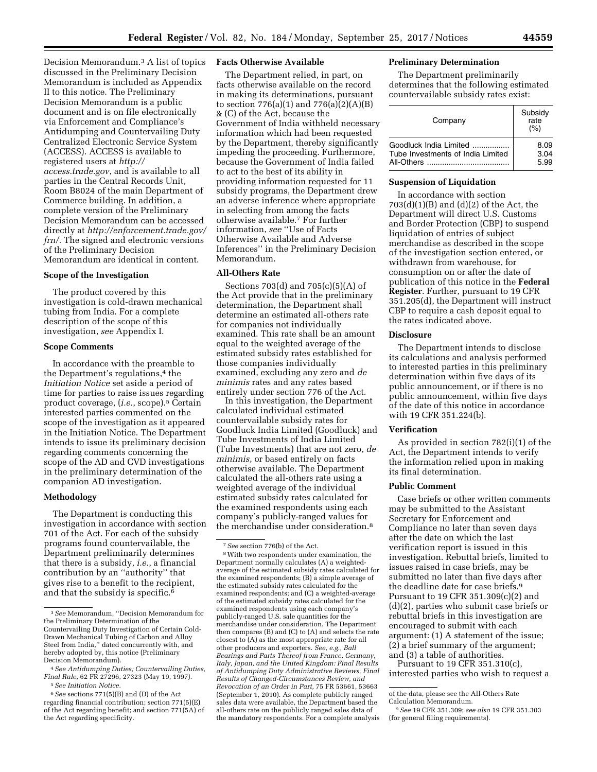Decision Memorandum.3 A list of topics discussed in the Preliminary Decision Memorandum is included as Appendix II to this notice. The Preliminary Decision Memorandum is a public document and is on file electronically via Enforcement and Compliance's Antidumping and Countervailing Duty Centralized Electronic Service System (ACCESS). ACCESS is available to registered users at *[http://](http://access.trade.gov) [access.trade.gov](http://access.trade.gov)*, and is available to all parties in the Central Records Unit, Room B8024 of the main Department of Commerce building. In addition, a complete version of the Preliminary Decision Memorandum can be accessed directly at *[http://enforcement.trade.gov/](http://enforcement.trade.gov/frn/)  [frn/.](http://enforcement.trade.gov/frn/)* The signed and electronic versions of the Preliminary Decision Memorandum are identical in content.

## **Scope of the Investigation**

The product covered by this investigation is cold-drawn mechanical tubing from India. For a complete description of the scope of this investigation, *see* Appendix I.

## **Scope Comments**

In accordance with the preamble to the Department's regulations,<sup>4</sup> the *Initiation Notice* set aside a period of time for parties to raise issues regarding product coverage, (*i.e.*, scope).5 Certain interested parties commented on the scope of the investigation as it appeared in the Initiation Notice. The Department intends to issue its preliminary decision regarding comments concerning the scope of the AD and CVD investigations in the preliminary determination of the companion AD investigation.

#### **Methodology**

The Department is conducting this investigation in accordance with section 701 of the Act. For each of the subsidy programs found countervailable, the Department preliminarily determines that there is a subsidy, *i.e.*, a financial contribution by an ''authority'' that gives rise to a benefit to the recipient, and that the subsidy is specific.<sup>6</sup>

## **Facts Otherwise Available**

The Department relied, in part, on facts otherwise available on the record in making its determinations, pursuant to section 776(a)(1) and 776(a)(2)(A)(B) & (C) of the Act, because the Government of India withheld necessary information which had been requested by the Department, thereby significantly impeding the proceeding. Furthermore, because the Government of India failed to act to the best of its ability in providing information requested for 11 subsidy programs, the Department drew an adverse inference where appropriate in selecting from among the facts otherwise available.7 For further information, *see* ''Use of Facts Otherwise Available and Adverse Inferences'' in the Preliminary Decision Memorandum.

### **All-Others Rate**

Sections 703(d) and 705(c)(5)(A) of the Act provide that in the preliminary determination, the Department shall determine an estimated all-others rate for companies not individually examined. This rate shall be an amount equal to the weighted average of the estimated subsidy rates established for those companies individually examined, excluding any zero and *de minimis* rates and any rates based entirely under section 776 of the Act.

In this investigation, the Department calculated individual estimated countervailable subsidy rates for Goodluck India Limited (Goodluck) and Tube Investments of India Limited (Tube Investments) that are not zero, *de minimis*, or based entirely on facts otherwise available. The Department calculated the all-others rate using a weighted average of the individual estimated subsidy rates calculated for the examined respondents using each company's publicly-ranged values for the merchandise under consideration.8

# **Preliminary Determination**

The Department preliminarily determines that the following estimated countervailable subsidy rates exist:

| Company                           | Subsidy<br>rate<br>(%) |
|-----------------------------------|------------------------|
| Goodluck India Limited            | 8.09                   |
| Tube Investments of India Limited | 3.04                   |
| All-Others                        | 5.99                   |

## **Suspension of Liquidation**

In accordance with section  $703(d)(1)(B)$  and  $(d)(2)$  of the Act, the Department will direct U.S. Customs and Border Protection (CBP) to suspend liquidation of entries of subject merchandise as described in the scope of the investigation section entered, or withdrawn from warehouse, for consumption on or after the date of publication of this notice in the **Federal Register**. Further, pursuant to 19 CFR 351.205(d), the Department will instruct CBP to require a cash deposit equal to the rates indicated above.

#### **Disclosure**

The Department intends to disclose its calculations and analysis performed to interested parties in this preliminary determination within five days of its public announcement, or if there is no public announcement, within five days of the date of this notice in accordance with 19 CFR 351.224(b).

### **Verification**

As provided in section 782(i)(1) of the Act, the Department intends to verify the information relied upon in making its final determination.

#### **Public Comment**

Case briefs or other written comments may be submitted to the Assistant Secretary for Enforcement and Compliance no later than seven days after the date on which the last verification report is issued in this investigation. Rebuttal briefs, limited to issues raised in case briefs, may be submitted no later than five days after the deadline date for case briefs.9 Pursuant to 19 CFR 351.309(c)(2) and (d)(2), parties who submit case briefs or rebuttal briefs in this investigation are encouraged to submit with each argument: (1) A statement of the issue; (2) a brief summary of the argument; and (3) a table of authorities.

Pursuant to 19 CFR 351.310(c), interested parties who wish to request a

<sup>3</sup>*See* Memorandum, ''Decision Memorandum for the Preliminary Determination of the Countervailing Duty Investigation of Certain Cold-Drawn Mechanical Tubing of Carbon and Alloy Steel from India,'' dated concurrently with, and hereby adopted by, this notice (Preliminary Decision Memorandum).

<sup>4</sup>*See Antidumping Duties; Countervailing Duties, Final Rule,* 62 FR 27296, 27323 (May 19, 1997). 5*See Initiation Notice.* 

<sup>6</sup>*See* sections 771(5)(B) and (D) of the Act regarding financial contribution; section 771(5)(E) of the Act regarding benefit; and section 771(5A) of the Act regarding specificity.

<sup>7</sup>*See* section 776(b) of the Act.

<sup>8</sup>With two respondents under examination, the Department normally calculates (A) a weightedaverage of the estimated subsidy rates calculated for the examined respondents; (B) a simple average of the estimated subsidy rates calculated for the examined respondents; and (C) a weighted-average of the estimated subsidy rates calculated for the examined respondents using each company's publicly-ranged U.S. sale quantities for the merchandise under consideration. The Department then compares (B) and (C) to (A) and selects the rate closest to (A) as the most appropriate rate for all other producers and exporters. *See, e.g., Ball Bearings and Parts Thereof from France, Germany, Italy, Japan, and the United Kingdom: Final Results of Antidumping Duty Administrative Reviews, Final Results of Changed-Circumstances Review, and Revocation of an Order in Part,* 75 FR 53661, 53663 (September 1, 2010). As complete publicly ranged sales data were available, the Department based the all-others rate on the publicly ranged sales data of the mandatory respondents. For a complete analysis

of the data, please see the All-Others Rate

Calculation Memorandum.

<sup>9</sup>*See* 19 CFR 351.309; *see also* 19 CFR 351.303 (for general filing requirements).